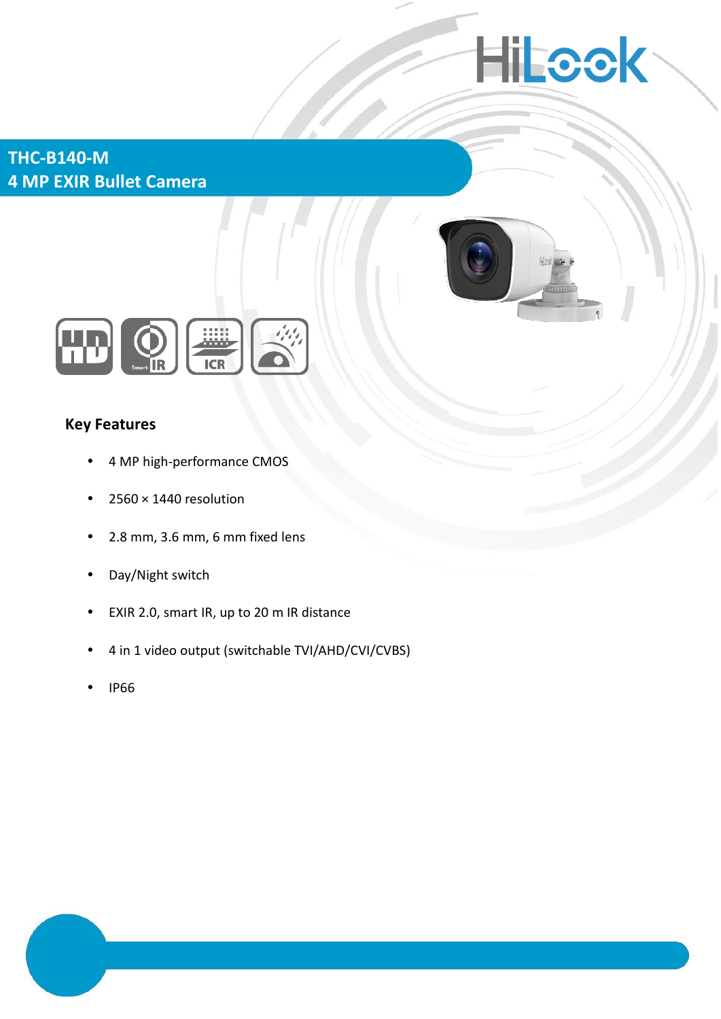# **Hillcok**

**THC-B140-M 4 MP EXIR Bullet Camera**





## **Key Features**

- 4 MP high-performance CMOS
- $\cdot$  2560  $\times$  1440 resolution
- 2.8 mm, 3.6 mm, 6 mm fixed lens
- Day/Night switch
- EXIR 2.0, smart IR, up to 20 m IR distance
- 4 in 1 video output (switchable TVI/AHD/CVI/CVBS)
- IP66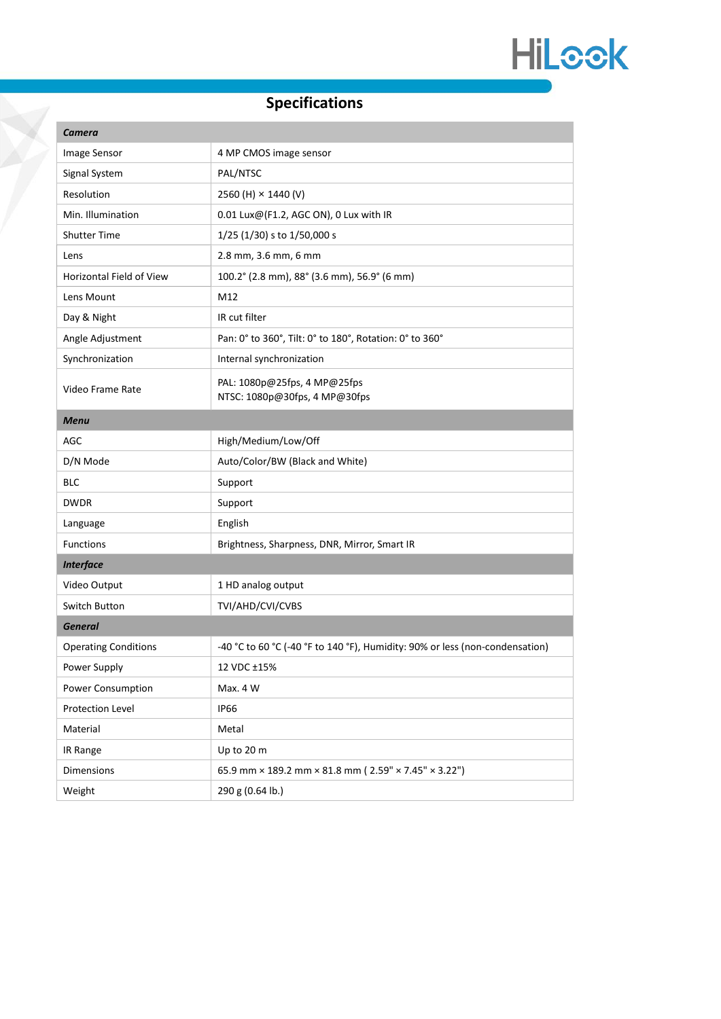

# **Specifications**

T

| <b>Camera</b>               |                                                                              |
|-----------------------------|------------------------------------------------------------------------------|
| Image Sensor                | 4 MP CMOS image sensor                                                       |
| Signal System               | PAL/NTSC                                                                     |
| Resolution                  | 2560 (H) × 1440 (V)                                                          |
| Min. Illumination           | 0.01 Lux@(F1.2, AGC ON), 0 Lux with IR                                       |
| <b>Shutter Time</b>         | $1/25$ (1/30) s to 1/50,000 s                                                |
| Lens                        | 2.8 mm, 3.6 mm, 6 mm                                                         |
| Horizontal Field of View    | 100.2° (2.8 mm), 88° (3.6 mm), 56.9° (6 mm)                                  |
| Lens Mount                  | M12                                                                          |
| Day & Night                 | IR cut filter                                                                |
| Angle Adjustment            | Pan: 0° to 360°, Tilt: 0° to 180°, Rotation: 0° to 360°                      |
| Synchronization             | Internal synchronization                                                     |
| Video Frame Rate            | PAL: 1080p@25fps, 4 MP@25fps<br>NTSC: 1080p@30fps, 4 MP@30fps                |
| <b>Menu</b>                 |                                                                              |
| <b>AGC</b>                  | High/Medium/Low/Off                                                          |
| D/N Mode                    | Auto/Color/BW (Black and White)                                              |
| <b>BLC</b>                  | Support                                                                      |
| <b>DWDR</b>                 | Support                                                                      |
| Language                    | English                                                                      |
| <b>Functions</b>            | Brightness, Sharpness, DNR, Mirror, Smart IR                                 |
| <b>Interface</b>            |                                                                              |
| Video Output                | 1 HD analog output                                                           |
| Switch Button               | TVI/AHD/CVI/CVBS                                                             |
| <b>General</b>              |                                                                              |
| <b>Operating Conditions</b> | -40 °C to 60 °C (-40 °F to 140 °F), Humidity: 90% or less (non-condensation) |
| Power Supply                | 12 VDC ±15%                                                                  |
| Power Consumption           | Max. 4 W                                                                     |
| Protection Level            | <b>IP66</b>                                                                  |
| Material                    | Metal                                                                        |
| IR Range                    | Up to 20 m                                                                   |
| Dimensions                  | 65.9 mm × 189.2 mm × 81.8 mm (2.59" × 7.45" × 3.22")                         |
| Weight                      | 290 g (0.64 lb.)                                                             |